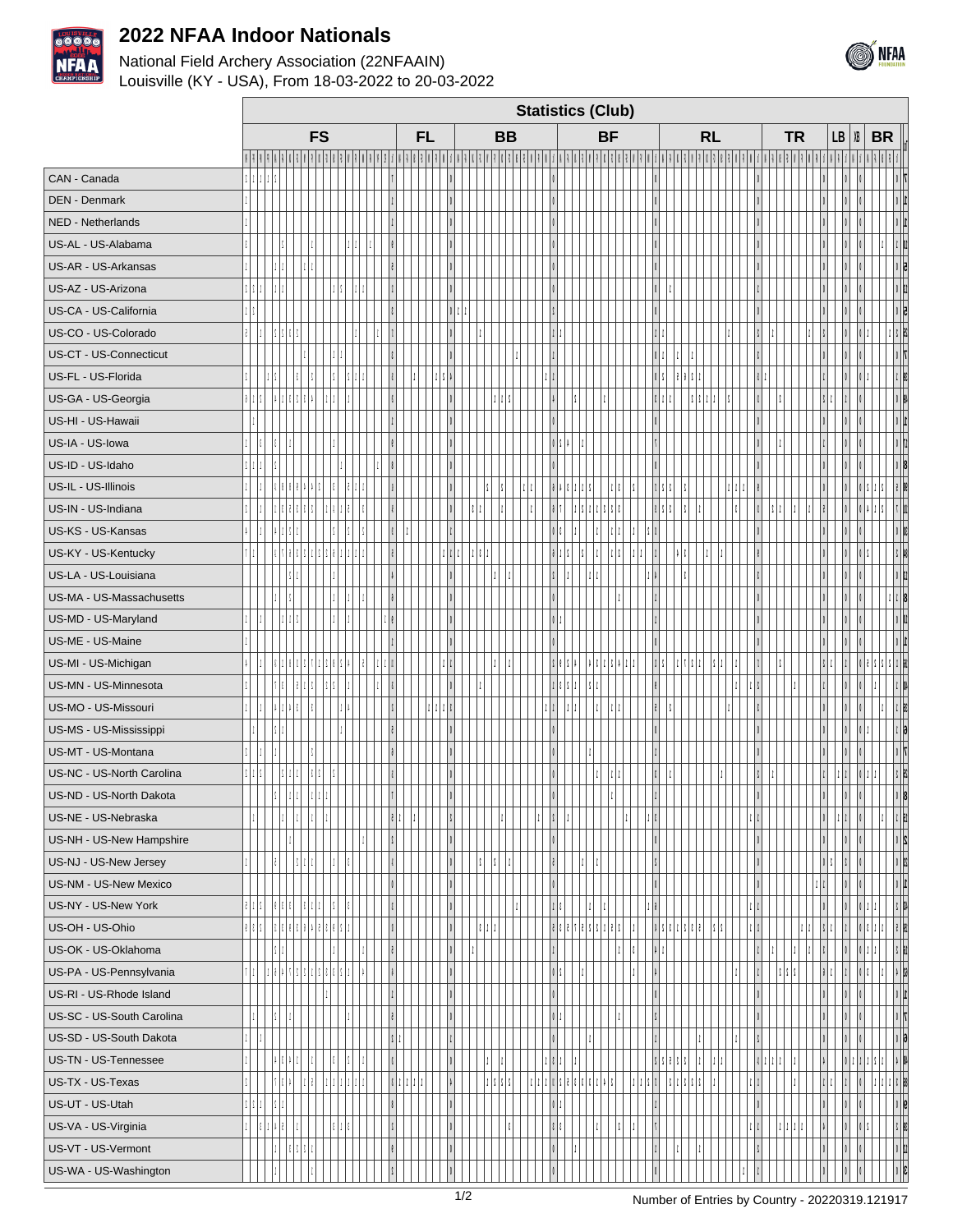

## **2022 NFAA Indoor Nationals**

## National Field Archery Association (22NFAAIN) Louisville (KY - USA), From 18-03-2022 to 20-03-2022

| DEN - Denmark             |  |  |  |  |  |  |  |  |     |  |  |  |  |  |  |  |  |  |  |  |  |  |  |              |  |
|---------------------------|--|--|--|--|--|--|--|--|-----|--|--|--|--|--|--|--|--|--|--|--|--|--|--|--------------|--|
| NED - Netherlands         |  |  |  |  |  |  |  |  |     |  |  |  |  |  |  |  |  |  |  |  |  |  |  |              |  |
| US-AL - US-Alabama        |  |  |  |  |  |  |  |  |     |  |  |  |  |  |  |  |  |  |  |  |  |  |  |              |  |
| US-AR - US-Arkansas       |  |  |  |  |  |  |  |  |     |  |  |  |  |  |  |  |  |  |  |  |  |  |  |              |  |
| US-AZ - US-Arizona        |  |  |  |  |  |  |  |  |     |  |  |  |  |  |  |  |  |  |  |  |  |  |  |              |  |
| US-CA - US-California     |  |  |  |  |  |  |  |  |     |  |  |  |  |  |  |  |  |  |  |  |  |  |  |              |  |
| US-CO - US-Colorado       |  |  |  |  |  |  |  |  |     |  |  |  |  |  |  |  |  |  |  |  |  |  |  |              |  |
| US-CT - US-Connecticut    |  |  |  |  |  |  |  |  |     |  |  |  |  |  |  |  |  |  |  |  |  |  |  |              |  |
| US-FL - US-Florida        |  |  |  |  |  |  |  |  |     |  |  |  |  |  |  |  |  |  |  |  |  |  |  |              |  |
| US-GA - US-Georgia        |  |  |  |  |  |  |  |  |     |  |  |  |  |  |  |  |  |  |  |  |  |  |  |              |  |
| US-HI - US-Hawaii         |  |  |  |  |  |  |  |  |     |  |  |  |  |  |  |  |  |  |  |  |  |  |  |              |  |
| US-IA - US-lowa           |  |  |  |  |  |  |  |  |     |  |  |  |  |  |  |  |  |  |  |  |  |  |  |              |  |
| US-ID - US-Idaho          |  |  |  |  |  |  |  |  |     |  |  |  |  |  |  |  |  |  |  |  |  |  |  |              |  |
| US-IL - US-Illinois       |  |  |  |  |  |  |  |  |     |  |  |  |  |  |  |  |  |  |  |  |  |  |  |              |  |
| US-IN - US-Indiana        |  |  |  |  |  |  |  |  |     |  |  |  |  |  |  |  |  |  |  |  |  |  |  |              |  |
| US-KS - US-Kansas         |  |  |  |  |  |  |  |  |     |  |  |  |  |  |  |  |  |  |  |  |  |  |  |              |  |
| US-KY - US-Kentucky       |  |  |  |  |  |  |  |  |     |  |  |  |  |  |  |  |  |  |  |  |  |  |  |              |  |
| US-LA - US-Louisiana      |  |  |  |  |  |  |  |  |     |  |  |  |  |  |  |  |  |  |  |  |  |  |  |              |  |
| US-MA - US-Massachusetts  |  |  |  |  |  |  |  |  |     |  |  |  |  |  |  |  |  |  |  |  |  |  |  |              |  |
| US-MD - US-Maryland       |  |  |  |  |  |  |  |  |     |  |  |  |  |  |  |  |  |  |  |  |  |  |  |              |  |
| US-ME - US-Maine          |  |  |  |  |  |  |  |  |     |  |  |  |  |  |  |  |  |  |  |  |  |  |  |              |  |
| US-MI - US-Michigan       |  |  |  |  |  |  |  |  |     |  |  |  |  |  |  |  |  |  |  |  |  |  |  |              |  |
| US-MN - US-Minnesota      |  |  |  |  |  |  |  |  |     |  |  |  |  |  |  |  |  |  |  |  |  |  |  |              |  |
| US-MO - US-Missouri       |  |  |  |  |  |  |  |  |     |  |  |  |  |  |  |  |  |  |  |  |  |  |  |              |  |
| US-MS - US-Mississippi    |  |  |  |  |  |  |  |  |     |  |  |  |  |  |  |  |  |  |  |  |  |  |  |              |  |
| US-MT - US-Montana        |  |  |  |  |  |  |  |  |     |  |  |  |  |  |  |  |  |  |  |  |  |  |  |              |  |
| US-NC - US-North Carolina |  |  |  |  |  |  |  |  |     |  |  |  |  |  |  |  |  |  |  |  |  |  |  |              |  |
| US-ND - US-North Dakota   |  |  |  |  |  |  |  |  |     |  |  |  |  |  |  |  |  |  |  |  |  |  |  |              |  |
| US-NE - US-Nebraska       |  |  |  |  |  |  |  |  |     |  |  |  |  |  |  |  |  |  |  |  |  |  |  |              |  |
| US-NH - US-New Hampshire  |  |  |  |  |  |  |  |  |     |  |  |  |  |  |  |  |  |  |  |  |  |  |  |              |  |
| US-NJ - US-New Jersey     |  |  |  |  |  |  |  |  |     |  |  |  |  |  |  |  |  |  |  |  |  |  |  |              |  |
| US-NM - US-New Mexico     |  |  |  |  |  |  |  |  |     |  |  |  |  |  |  |  |  |  |  |  |  |  |  | $\mathbb{L}$ |  |
| US-NY - US-New York       |  |  |  |  |  |  |  |  |     |  |  |  |  |  |  |  |  |  |  |  |  |  |  |              |  |
| US-OH - US-Ohio           |  |  |  |  |  |  |  |  |     |  |  |  |  |  |  |  |  |  |  |  |  |  |  |              |  |
| US-OK - US-Oklahoma       |  |  |  |  |  |  |  |  |     |  |  |  |  |  |  |  |  |  |  |  |  |  |  |              |  |
| US-PA - US-Pennsylvania   |  |  |  |  |  |  |  |  |     |  |  |  |  |  |  |  |  |  |  |  |  |  |  |              |  |
| US-RI - US-Rhode Island   |  |  |  |  |  |  |  |  |     |  |  |  |  |  |  |  |  |  |  |  |  |  |  |              |  |
| US-SC - US-South Carolina |  |  |  |  |  |  |  |  |     |  |  |  |  |  |  |  |  |  |  |  |  |  |  |              |  |
| US-SD - US-South Dakota   |  |  |  |  |  |  |  |  |     |  |  |  |  |  |  |  |  |  |  |  |  |  |  |              |  |
| US-TN - US-Tennessee      |  |  |  |  |  |  |  |  |     |  |  |  |  |  |  |  |  |  |  |  |  |  |  |              |  |
| US-TX - US-Texas          |  |  |  |  |  |  |  |  |     |  |  |  |  |  |  |  |  |  |  |  |  |  |  |              |  |
| US-UT - US-Utah           |  |  |  |  |  |  |  |  |     |  |  |  |  |  |  |  |  |  |  |  |  |  |  |              |  |
| US-VA - US-Virginia       |  |  |  |  |  |  |  |  |     |  |  |  |  |  |  |  |  |  |  |  |  |  |  |              |  |
| US-VT - US-Vermont        |  |  |  |  |  |  |  |  |     |  |  |  |  |  |  |  |  |  |  |  |  |  |  |              |  |
| US-WA - US-Washington     |  |  |  |  |  |  |  |  |     |  |  |  |  |  |  |  |  |  |  |  |  |  |  |              |  |
|                           |  |  |  |  |  |  |  |  | 1/2 |  |  |  |  |  |  |  |  |  |  |  |  |  |  |              |  |

**Statistics (Club)**

**PM PF MP FP AM AF JM JF YM YF CM CF SM SF VM VF MM MF PV PZ Tot. AM AF SM SF VM VF MM Tot.AM AF JM JF YM YF CM CF SM SF VM VF MM Tot.AM AF JM JF YM YF CM CF SM SF VM VF MM Tot.AM AF JM JF YM YF CM CF SM SF VM VF MM Tot.AM AF SM SF VM VF MM MF Tot. AM AF Tot. AM Tot.AM AF SM SF Tot.**

CAN - Canada 2 1 1 1 2 **<sup>7</sup> 0 0 0 0 0 0 0 0 7**

**FS FL BB BF RL TR LB XB BR Tot.**